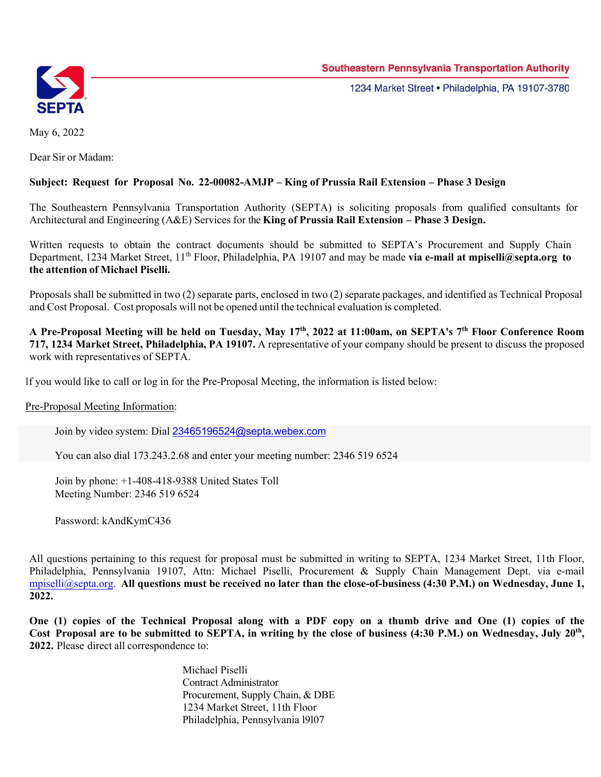

1234 Market Street . Philadelphia, PA 19107-3780

May 6, 2022

Dear Sir or Madam:

## **Subject: Request for Proposal No. 22-00082-AMJP – King of Prussia Rail Extension – Phase 3 Design**

The Southeastern Pennsylvania Transportation Authority (SEPTA) is soliciting proposals from qualified consultants for Architectural and Engineering (A&E) Services for the **King of Prussia Rail Extension – Phase 3 Design.** 

Written requests to obtain the contract documents should be submitted to SEPTA's Procurement and Supply Chain Department, 1234 Market Street, 11<sup>th</sup> Floor, Philadelphia, PA 19107 and may be made **via e-mail at mpiselli@septa.org to the attention of Michael Piselli.** 

Proposals shall be submitted in two (2) separate parts, enclosed in two (2) separate packages, and identified as Technical Proposal and Cost Proposal. Cost proposals will not be opened until the technical evaluation is completed.

**A Pre-Proposal Meeting will be held on Tuesday, May 17th, 2022 at 11:00am, on SEPTA's 7th Floor Conference Room 717, 1234 Market Street, Philadelphia, PA 19107.** A representative of your company should be present to discuss the proposed work with representatives of SEPTA.

If you would like to call or log in for the Pre-Proposal Meeting, the information is listed below:

Pre-Proposal Meeting Information:

Join by video system: Dial 23465196524@septa.webex.com

You can also dial 173.243.2.68 and enter your meeting number: 2346 519 6524

Join by phone: +1-408-418-9388 United States Toll Meeting Number: 2346 519 6524

Password: kAndKymC436

All questions pertaining to this request for proposal must be submitted in writing to SEPTA, 1234 Market Street, 11th Floor, Philadelphia, Pennsylvania 19107, Attn: Michael Piselli, Procurement & Supply Chain Management Dept. via e-mail mpiselli@septa.org. **All questions must be received no later than the close-of-business (4:30 P.M.) on Wednesday, June 1, 2022.** 

**One (1) copies of the Technical Proposal along with a PDF copy on a thumb drive and One (1) copies of the**  Cost Proposal are to be submitted to SEPTA, in writing by the close of business (4:30 P.M.) on Wednesday, July 20<sup>th</sup>, **2022.** Please direct all correspondence to:

> Michael Piselli Contract Administrator Procurement, Supply Chain, & DBE 1234 Market Street, 11th Floor Philadelphia, Pennsylvania l9l07